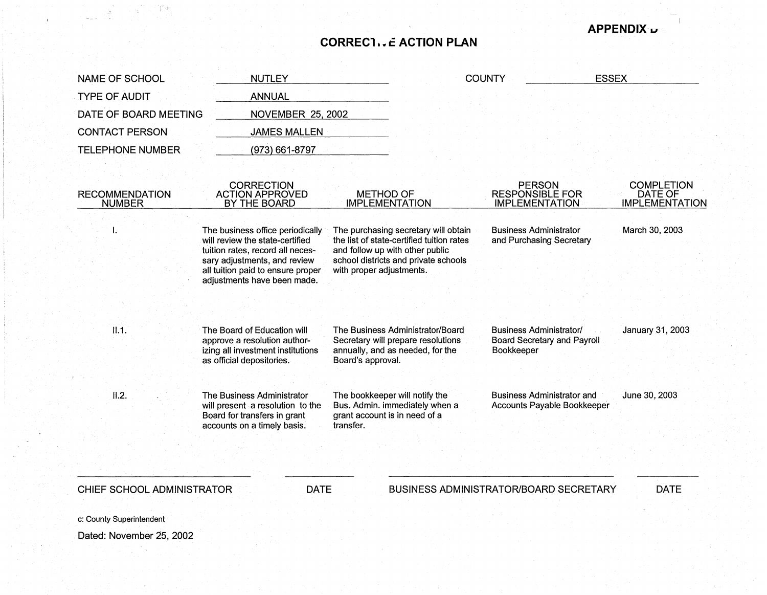## **CORRECl i. f ACTION PLAN**

**APPENDIX a;,-**

NAME OF SCHOOL TYPE OF AUDIT NUTLEY ANNUAL COUNTY ESSEX DATE OF BOARD MEETING CONTACT PERSON TELEPHONE NUMBER NOVEMBER 25, 2002 RECOMMENDATION NUMBER I. 11.1.  $II.2.$ JAMES MALLEN (973) 661-8797 CORRECTION ACTION APPROVED BY THE BOARD The business office periodically will review the state-certified tuition rates, record all necessary adjustments, and review all tuition paid to ensure proper adjustments have been made. The Board of Education will approve a resolution authorizing all investment institutions as official depositories. The Business Administrator will present a resolution to the Board for transfers in grant accounts on a timely basis. CHIEF SCHOOL ADMINISTRATOR DATE METHOD OF IMPLEMENTATION The purchasing secretary will obtain the list of state-certified tuition rates and follow up with other public school districts and private schools with proper adjustments. The Business Administrator/Board Secretary will prepare resolutions annually, and as needed, for the Board's approval. The bookkeeper will notify the Bus. Admin. immediately when a grant account is in need of a transfer. PERSON RESPONSIBLE FOR IMPLEMENTATION Business Administrator and Purchasing Secretary Business Administrator/ Board Secretary and Payroll Bookkeeper Business Administrator and Accounts Payable Bookkeeper BUSINESS ADMINISTRATOR/BOARD SECRETARY **COMPLETION** DATE OF IMPLEMENTATION March 30, 2003 January 31, 2003 June 30, 2003 DATE

c: County Superintendent

Dated: November 25, 2002

i *,5*